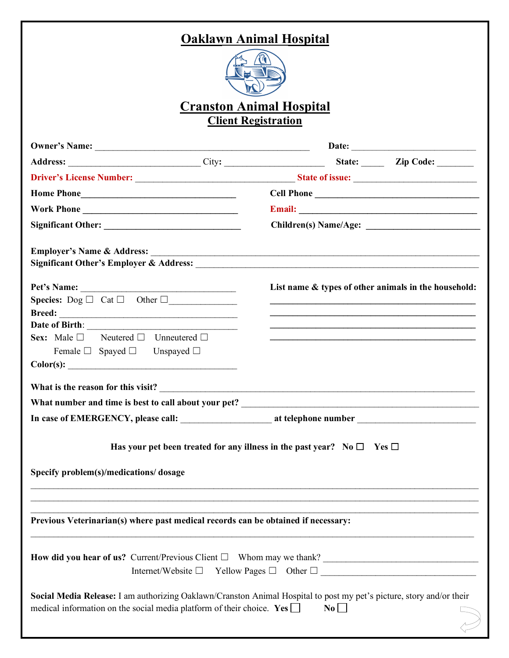# **Oaklawn Animal Hospital**



## **Cranston Animal Hospital Client Registration**

|                                                                                                                                                                                                                   | Cell Phone                                           |
|-------------------------------------------------------------------------------------------------------------------------------------------------------------------------------------------------------------------|------------------------------------------------------|
|                                                                                                                                                                                                                   |                                                      |
|                                                                                                                                                                                                                   |                                                      |
|                                                                                                                                                                                                                   |                                                      |
| Pet's Name:                                                                                                                                                                                                       | List name & types of other animals in the household: |
| <b>Species:</b> $\text{Dog } \Box$ Cat $\Box$ Other $\Box$                                                                                                                                                        |                                                      |
|                                                                                                                                                                                                                   |                                                      |
|                                                                                                                                                                                                                   |                                                      |
| <b>Sex:</b> Male $\Box$ Neutered $\Box$ Unneutered $\Box$                                                                                                                                                         |                                                      |
| Female $\Box$ Spayed $\Box$ Unspayed $\Box$                                                                                                                                                                       |                                                      |
|                                                                                                                                                                                                                   |                                                      |
|                                                                                                                                                                                                                   |                                                      |
|                                                                                                                                                                                                                   |                                                      |
|                                                                                                                                                                                                                   |                                                      |
| Has your pet been treated for any illness in the past year? No $\square$ Yes $\square$<br>Specify problem(s)/medications/dosage                                                                                   |                                                      |
| Previous Veterinarian(s) where past medical records can be obtained if necessary:                                                                                                                                 |                                                      |
| Internet/Website $\Box$ Yellow Pages $\Box$ Other $\Box$                                                                                                                                                          |                                                      |
| Social Media Release: I am authorizing Oaklawn/Cranston Animal Hospital to post my pet's picture, story and/or their<br>medical information on the social media platform of their choice. Yes $\Box$<br>$\bf{No}$ |                                                      |